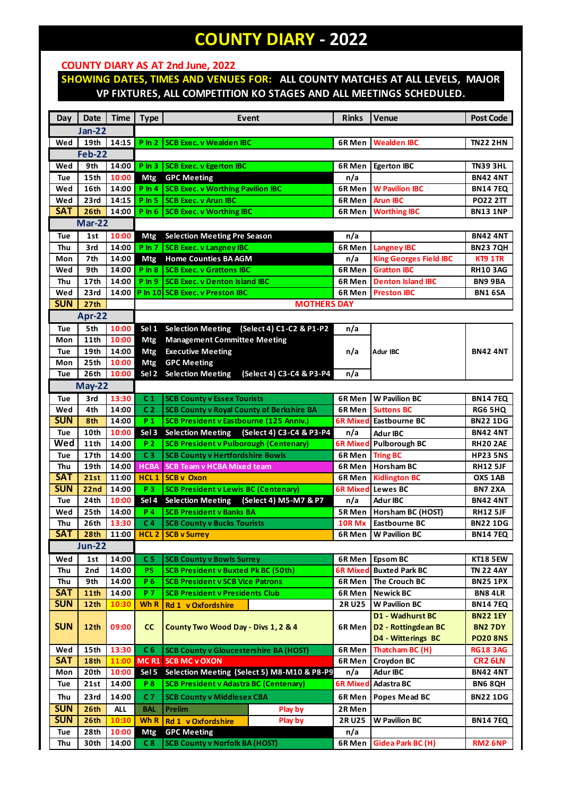## **COUNTY DIARY - 2022**

## **COUNTY DIARY AS AT 2nd June, 2022**

## **SHOWING DATES, TIMES AND VENUES FOR: ALL COUNTY MATCHES AT ALL LEVELS, MAJOR VP FIXTURES, ALL COMPETITION KO STAGES AND ALL MEETINGS SCHEDULED.**

| Day           | <b>Date</b>      | <b>Time</b> | <b>Type</b>      | Event                                                | <b>Rinks</b>    | Venue                         | <b>Post Code</b>    |  |  |  |  |
|---------------|------------------|-------------|------------------|------------------------------------------------------|-----------------|-------------------------------|---------------------|--|--|--|--|
|               | <b>Jan-22</b>    |             |                  |                                                      |                 |                               |                     |  |  |  |  |
| Wed           | 19th             | 14:15       | $P \ln 2$        | <b>SCB Exec. v Wealden IBC</b>                       | 6R Men          | <b>Wealden IBC</b>            | <b>TN22 2HN</b>     |  |  |  |  |
| <b>Feb-22</b> |                  |             |                  |                                                      |                 |                               |                     |  |  |  |  |
| Wed           | 9th              | 14:00       |                  | P In 3   SCB Exec. v Egerton IBC                     | 6R Men          | <b>Egerton IBC</b>            | <b>TN39 3HL</b>     |  |  |  |  |
| Tue           | 15th             | 10:00       | Mtg              | <b>GPC Meeting</b>                                   | n/a             |                               | <b>BN42 4NT</b>     |  |  |  |  |
| Wed           | 16th             | 14:00       |                  | P In 4 SCB Exec. v Worthing Pavilion IBC             | 6R Men          | <b>W Pavilion IBC</b>         | <b>BN147EQ</b>      |  |  |  |  |
| Wed           | 23rd             | 14:15       | $P \ln 5$        | <b>SCB Exec. v Arun IBC</b>                          | 6R Men          | <b>Arun IBC</b>               | <b>PO22 2TT</b>     |  |  |  |  |
| <b>SAT</b>    | 26 <sub>th</sub> | 14:00       | $P \ln 6$        | <b>SCB Exec. v Worthing IBC</b>                      | 6R Men          | <b>Worthing IBC</b>           | <b>BN13 1NP</b>     |  |  |  |  |
| <b>Mar-22</b> |                  |             |                  |                                                      |                 |                               |                     |  |  |  |  |
| Tue           | 1st              | 10:00       | <b>Mtg</b>       | <b>Selection Meeting Pre Season</b>                  | n/a             |                               | <b>BN42 4NT</b>     |  |  |  |  |
| Thu           | 3rd              | 14:00       | $P \ln 7$        | <b>SCB Exec. v Langney IBC</b>                       | 6R Men          | <b>Langney IBC</b>            | <b>BN237QH</b>      |  |  |  |  |
| Mon           | 7th              | 14:00       | <b>Mtg</b>       | <b>Home Counties BA AGM</b>                          | n/a             | <b>King Georges Field IBC</b> | KT9 1TR             |  |  |  |  |
| Wed           | 9th              | 14:00       | $P \ln 8$        | <b>SCB Exec. v Grattons IBC</b>                      | 6R Men          | <b>Gratton IBC</b>            | <b>RH10 3AG</b>     |  |  |  |  |
| Thu           | 17 <sub>th</sub> | 14:00       | $P \ln 9$        | <b>SCB Exec. v Denton Island IBC</b>                 | 6R Men          | <b>Denton Island IBC</b>      | <b>BN99BA</b>       |  |  |  |  |
| Wed           | 23rd             | 14:00       |                  | P In 10 SCB Exec. v Preston IBC                      | 6R Men          | <b>Preston IBC</b>            | <b>BN1 6SA</b>      |  |  |  |  |
| <b>SUN</b>    | 27th             |             |                  | <b>MOTHERS DAY</b>                                   |                 |                               |                     |  |  |  |  |
|               | Apr-22           |             |                  |                                                      |                 |                               |                     |  |  |  |  |
| Tue           | 5th              | 10:00       | Sel 1            | <b>Selection Meeting</b><br>(Select 4) C1-C2 & P1-P2 | n/a             |                               |                     |  |  |  |  |
| Mon           | 11th             | 10:00       | Mtg              | <b>Management Committee Meeting</b>                  |                 |                               |                     |  |  |  |  |
| Tue           | 19th             | 14:00       | Mtg              | <b>Executive Meeting</b>                             | n/a             | Adur IBC                      | <b>BN42 4NT</b>     |  |  |  |  |
| Mon           | 25th             | 10:00       | Mtg              | <b>GPC Meeting</b>                                   |                 |                               |                     |  |  |  |  |
| Tue           | 26th             | 10:00       | Sel 2            | <b>Selection Meeting</b><br>(Select 4) C3-C4 & P3-P4 | n/a             |                               |                     |  |  |  |  |
|               | <b>May-22</b>    |             |                  |                                                      |                 |                               |                     |  |  |  |  |
| Tue           | 3rd              | 13:30       | C <sub>1</sub>   | <b>SCB County v Essex Tourists</b>                   | 6R Men          | <b>W</b> Pavilion BC          | <b>BN147EQ</b>      |  |  |  |  |
| Wed           | 4th              | 14:00       | C <sub>2</sub>   | <b>SCB County v Royal County of Berkshire BA</b>     | 6R Men          | <b>Suttons BC</b>             | <b>RG6 5HQ</b>      |  |  |  |  |
| <b>SUN</b>    | 8th              | 14:00       | P <sub>1</sub>   | <b>SCB President v Eastbourne (125 Anniv.)</b>       | <b>6R Mixed</b> | Eastbourne BC                 | <b>BN22 1DG</b>     |  |  |  |  |
| Tue           | 10th             | 10:00       | Sel 3            | Selection Meeting (Select 4) C3-C4 & P3-P4           | n/a             | <b>Adur IBC</b>               | <b>BN42 4NT</b>     |  |  |  |  |
| Wed           | <b>11th</b>      | 14:00       | <b>P2</b>        | <b>SCB President v Pulborough (Centenary)</b>        | <b>6R Mixed</b> | <b>Pulborough BC</b>          | <b>RH20 2AE</b>     |  |  |  |  |
| Tue           | 17th             | 14:00       | C <sub>3</sub>   | <b>SCB County v Hertfordshire Bowls</b>              | 6R Men          | <b>Tring BC</b>               | <b>HP23 5NS</b>     |  |  |  |  |
| Thu           | 19th             | 14:00       | <b>HCBA</b>      | <b>SCB Team v HCBA Mixed team</b>                    | 6R Men          | <b>Horsham BC</b>             | <b>RH12 5JF</b>     |  |  |  |  |
| <b>SAT</b>    | 21st             | 11:00       | HCL <sub>1</sub> | <b>SCB v Oxon</b>                                    | 6R Men          | <b>Kidlington BC</b>          | OX5 1AB             |  |  |  |  |
| <b>SUN</b>    | 22nd             | 14:00       | P <sub>3</sub>   | <b>SCB President v Lewis BC (Centenary)</b>          | <b>6R Mixed</b> | <b>Lewes BC</b>               | <b>BN7 2XA</b>      |  |  |  |  |
| Tue           | 24th             | 10:00       | Sel 4            | <b>Selection Meeting</b><br>(Select 4) M5-M7 & P7    | n/a             | <b>Adur IBC</b>               | <b>BN42 4NT</b>     |  |  |  |  |
| Wed           | 25 <sub>th</sub> | 14:00       | <b>P4</b>        | <b>SCB President v Banks BA</b>                      | 5R Men          | Horsham BC (HOST)             | <b>RH12 5JF</b>     |  |  |  |  |
| Thu           | 26 <sub>th</sub> | 13:30       | C <sub>4</sub>   | <b>SCB County v Bucks Tourists</b>                   | 10R Mx          | <b>Eastbourne BC</b>          | <b>BN22 1DG</b>     |  |  |  |  |
| <b>SAT</b>    | 28 <sub>th</sub> |             |                  | 11:00   HCL 2   SCB v Surrey                         |                 | 6R Men   W Pavilion BC        | <b>BN14 7EQ</b>     |  |  |  |  |
|               | <b>Jun-22</b>    |             |                  |                                                      |                 |                               |                     |  |  |  |  |
| Wed           | 1st              | 14:00       | C <sub>5</sub>   | <b>SCB County v Bowls Surrey</b>                     | 6R Men          | <b>Epsom BC</b>               | <b>KT18 5EW</b>     |  |  |  |  |
| Thu           | 2nd              | 14:00       | <b>P5</b>        | <b>SCB President v Buxted Pk BC (50th)</b>           | 6R Mixed        | <b>Buxted Park BC</b>         | TN 22 4AY           |  |  |  |  |
| Thu           | 9th              | 14:00       | P 6              | <b>SCB President v SCB Vice Patrons</b>              | 6R Men          | The Crouch BC                 | <b>BN25 1PX</b>     |  |  |  |  |
| <b>SAT</b>    | 11 <sup>th</sup> | 14:00       | <b>P7</b>        | <b>SCB President v Presidents Club</b>               | 6R Men          | <b>Newick BC</b>              | <b>BN8 4LR</b>      |  |  |  |  |
| <b>SUN</b>    | 12 <sub>th</sub> | 10:30       | Wh R             | Rd 1 v Oxfordshire                                   | 2R U25          | <b>W Pavilion BC</b>          | <b>BN147EQ</b>      |  |  |  |  |
|               |                  |             |                  |                                                      |                 | D1 - Wadhurst BC              | <b>BN22 1EY</b>     |  |  |  |  |
| <b>SUN</b>    | 12th             | 09:00       | cc               | County Two Wood Day - Divs 1, 2 & 4                  | 6R Men          | D2 - Rottingdean BC           | <b>BN2 7DY</b>      |  |  |  |  |
|               |                  |             |                  |                                                      |                 | D4 - Witterings BC            | <b>PO20 8NS</b>     |  |  |  |  |
| Wed           | 15th             | 13:30       | C <sub>6</sub>   | <b>SCB County v Gloucestershire BA (HOST)</b>        | 6R Men          | Thatcham BC (H)               | <b>RG18 3AG</b>     |  |  |  |  |
| <b>SAT</b>    | 18th             | 11:00       | <b>MC R1</b>     | <b>SCB MC v OXON</b>                                 | 6R Men          | <b>Croydon BC</b>             | CR <sub>2</sub> 6LN |  |  |  |  |
| Mon           | 20th             | 10:00       |                  | Sel 5 Selection Meeting (Select 5) M8-M10 & P8-P9    | n/a             | <b>Adur IBC</b>               | <b>BN42 4NT</b>     |  |  |  |  |
| Tue           | 21st             | 14:00       | <b>P8</b>        | <b>SCB President v Adastra BC (Centenary)</b>        | <b>6R Mixed</b> | <b>Adastra BC</b>             | <b>BN6 8QH</b>      |  |  |  |  |
| Thu           | 23rd             | 14:00       | C <sub>7</sub>   | <b>SCB County v Middlesex CBA</b>                    | 6R Men          | <b>Popes Mead BC</b>          | <b>BN22 1DG</b>     |  |  |  |  |
| <b>SUN</b>    | 26th             | <b>ALL</b>  | <b>BAL</b>       | <b>Prelim</b><br>Play by                             | 2R Men          |                               |                     |  |  |  |  |
| <b>SUN</b>    | 26th             | 10:30       | Wh R             | Rd 1 v Oxfordshire<br>Play by                        | 2R U25          | <b>W Pavilion BC</b>          | <b>BN147EQ</b>      |  |  |  |  |
| Tue           | 28th             | 10:00       | Mtg              | <b>GPC Meeting</b>                                   | n/a             |                               |                     |  |  |  |  |
| Thu           | 30th             | 14:00       | C <sub>8</sub>   | <b>SCB County v Norfolk BA (HOST)</b>                | 6R Men          | Gidea Park BC (H)             | <b>RM2 6NP</b>      |  |  |  |  |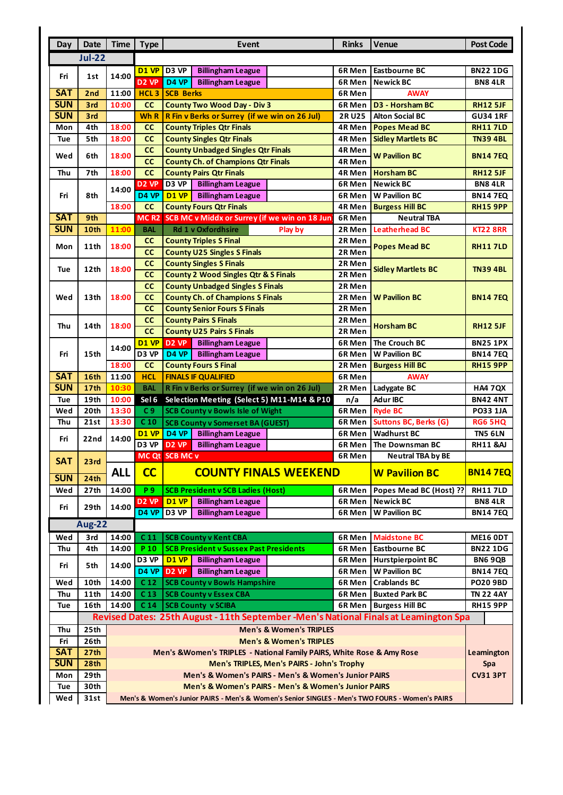| Day                                                                                  | Date             | <b>Time</b>                                                                                     | <b>Type</b>                        | <b>Event</b><br><b>Rinks</b><br><b>Venue</b>                                 |                      |                                                |                                  |  |  |  |  |
|--------------------------------------------------------------------------------------|------------------|-------------------------------------------------------------------------------------------------|------------------------------------|------------------------------------------------------------------------------|----------------------|------------------------------------------------|----------------------------------|--|--|--|--|
|                                                                                      | <b>Jul-22</b>    |                                                                                                 |                                    |                                                                              |                      |                                                |                                  |  |  |  |  |
|                                                                                      |                  |                                                                                                 | D1 VP                              | D3 VP<br><b>Billingham League</b>                                            | <b>Eastbourne BC</b> | <b>BN22 1DG</b>                                |                                  |  |  |  |  |
| Fri                                                                                  | 1st              | 14:00                                                                                           | D <sub>2</sub> VP                  | D <sub>4</sub> VP<br><b>Billingham League</b>                                | 6R Men<br>6R Men     | <b>Newick BC</b>                               | <b>BN8 4LR</b>                   |  |  |  |  |
| <b>SAT</b>                                                                           | 2nd              | 11:00                                                                                           | HCL <sub>3</sub>                   | <b>SCB Berks</b>                                                             | <b>AWAY</b>          |                                                |                                  |  |  |  |  |
| <b>SUN</b>                                                                           | 3rd              | 10:00                                                                                           | cc                                 | <b>County Two Wood Day - Div 3</b>                                           | 6R Men<br>6R Men     | <b>D3 - Horsham BC</b>                         | <b>RH12 5JF</b>                  |  |  |  |  |
| <b>SUN</b>                                                                           | 3rd              |                                                                                                 | Wh R                               | R Fin v Berks or Surrey (if we win on 26 Jul)                                | <b>2RU25</b>         | <b>Alton Social BC</b>                         | <b>GU34 1RF</b>                  |  |  |  |  |
| Mon                                                                                  | 4th              | 18:00                                                                                           | <b>CC</b>                          | <b>County Triples Qtr Finals</b>                                             | 4R Men               | <b>Popes Mead BC</b>                           | <b>RH117LD</b>                   |  |  |  |  |
| <b>Tue</b>                                                                           | 5th              | 18:00                                                                                           | cc                                 | <b>County Singles Qtr Finals</b>                                             | 4R Men               | <b>Sidley Martlets BC</b>                      | <b>TN39 4BL</b>                  |  |  |  |  |
|                                                                                      |                  |                                                                                                 | cc                                 | <b>County Unbadged Singles Qtr Finals</b>                                    | 4R Men               |                                                |                                  |  |  |  |  |
| Wed                                                                                  | 6th              | 18:00                                                                                           | cc                                 | <b>County Ch. of Champions Qtr Finals</b>                                    | 4R Men               | <b>W Pavilion BC</b>                           | <b>BN147EQ</b>                   |  |  |  |  |
| Thu                                                                                  | 7th              | 18:00                                                                                           | cc                                 | <b>County Pairs Qtr Finals</b>                                               | 4R Men               | <b>Horsham BC</b>                              | <b>RH12 5JF</b>                  |  |  |  |  |
|                                                                                      |                  | 14:00                                                                                           | D2 VP                              | <b>Billingham League</b><br>D <sub>3</sub> VP                                | 6R Men               | <b>Newick BC</b>                               | <b>BN8 4LR</b>                   |  |  |  |  |
| Fri                                                                                  | 8th              |                                                                                                 | D4 VP                              | D1 VP<br><b>Billingham League</b>                                            | 6R Men               | <b>W Pavilion BC</b>                           | <b>BN147EQ</b>                   |  |  |  |  |
|                                                                                      |                  | 18:00                                                                                           | cc                                 | <b>County Fours Qtr Finals</b>                                               | 4R Men               | <b>Burgess Hill BC</b>                         | <b>RH15 9PP</b>                  |  |  |  |  |
| <b>SAT</b>                                                                           | 9th              |                                                                                                 | MC <sub>R2</sub>                   | SCB MC v Middx or Surrey (if we win on 18 Jun                                | 6R Men               | <b>Neutral TBA</b>                             |                                  |  |  |  |  |
| <b>SUN</b>                                                                           | 10th             | 11:00                                                                                           | <b>BAL</b>                         | <b>Rd 1 v Oxfordhsire</b><br>Play by                                         | 2R Men               | <b>Leatherhead BC</b>                          | <b>KT22 8RR</b>                  |  |  |  |  |
| Mon                                                                                  | 11th             | 18:00                                                                                           | <b>CC</b>                          | <b>County Triples S Final</b>                                                | 2R Men               | <b>Popes Mead BC</b>                           | <b>RH117LD</b>                   |  |  |  |  |
|                                                                                      |                  |                                                                                                 | cc                                 | <b>County U25 Singles S Finals</b>                                           | 2R Men               |                                                |                                  |  |  |  |  |
| Tue                                                                                  | 12th             | 18:00                                                                                           | cc                                 | <b>County Singles S Finals</b>                                               | 2R Men               | <b>Sidley Martlets BC</b>                      | <b>TN39 4BL</b>                  |  |  |  |  |
|                                                                                      |                  |                                                                                                 | cc                                 | <b>County 2 Wood Singles Qtr &amp; S Finals</b>                              | 2R Men               |                                                |                                  |  |  |  |  |
|                                                                                      |                  |                                                                                                 | cc                                 | <b>County Unbadged Singles S Finals</b>                                      | 2R Men               |                                                |                                  |  |  |  |  |
| Wed                                                                                  | 13th             | 18:00                                                                                           | cc                                 | <b>County Ch. of Champions S Finals</b>                                      | 2R Men               | <b>W Pavilion BC</b>                           | <b>BN147EQ</b>                   |  |  |  |  |
|                                                                                      |                  |                                                                                                 | cc                                 | <b>County Senior Fours S Finals</b>                                          | 2R Men               |                                                |                                  |  |  |  |  |
| Thu                                                                                  | 14th             | 18:00                                                                                           | cc                                 | <b>County Pairs S Finals</b>                                                 | 2R Men               | <b>Horsham BC</b>                              | <b>RH12 5JF</b>                  |  |  |  |  |
|                                                                                      |                  |                                                                                                 | cc                                 | <b>County U25 Pairs S Finals</b>                                             | 2R Men               |                                                |                                  |  |  |  |  |
|                                                                                      |                  | 14:00                                                                                           | D1 VP                              | <b>D2 VP</b><br><b>Billingham League</b>                                     | 6R Men               | The Crouch BC                                  | <b>BN25 1PX</b>                  |  |  |  |  |
| Fri                                                                                  | 15th             |                                                                                                 | D <sub>3</sub> VP                  | D4 VP<br><b>Billingham League</b>                                            | 6R Men<br>2R Men     | <b>W Pavilion BC</b>                           | <b>BN147EQ</b>                   |  |  |  |  |
|                                                                                      |                  | 18:00                                                                                           | cc                                 | <b>County Fours S Final</b>                                                  |                      | <b>Burgess Hill BC</b>                         | <b>RH15 9PP</b>                  |  |  |  |  |
| <b>SAT</b>                                                                           | 16th             | 11:00                                                                                           | <b>HCL</b>                         | <b>FINALS IF QUALIFIED</b>                                                   | 6R Men               | <b>AWAY</b>                                    |                                  |  |  |  |  |
| <b>SUN</b>                                                                           | 17 <sub>th</sub> | 10:30                                                                                           | <b>BAL</b>                         | R Fin v Berks or Surrey (if we win on 26 Jul)                                | 2R Men               | Ladygate BC                                    | <b>HA4 7QX</b>                   |  |  |  |  |
| Tue                                                                                  | 19th             | 10:00                                                                                           | Sel 6                              | Selection Meeting (Select 5) M11-M14 & P10                                   | n/a                  | <b>Adur IBC</b>                                | <b>BN42 4NT</b>                  |  |  |  |  |
| Wed                                                                                  | 20th<br>21st     | 13:30<br>13:30                                                                                  | C <sub>9</sub><br>C <sub>10</sub>  | <b>SCB County v Bowls Isle of Wight</b>                                      | 6R Men               | <b>Ryde BC</b><br><b>Suttons BC, Berks (G)</b> | <b>PO33 1JA</b>                  |  |  |  |  |
| Thu                                                                                  |                  | 14:00                                                                                           | D1 VP                              | <b>SCB County v Somerset BA (GUEST)</b><br>D4 VP<br><b>Billingham League</b> | 6R Men<br>6R Men     | <b>Wadhurst BC</b>                             | <b>RG6 5HQ</b><br><b>TN5 6LN</b> |  |  |  |  |
| Fri                                                                                  | 22nd             |                                                                                                 | D3 VP                              | <b>D2 VP</b><br><b>Billingham League</b>                                     | 6R Men               | The Downsman BC                                | <b>RH11 &amp;AJ</b>              |  |  |  |  |
|                                                                                      |                  |                                                                                                 |                                    | MC Qt SCB MC v                                                               | 6R Men               | <b>Neutral TBA by BE</b>                       |                                  |  |  |  |  |
| <b>SAT</b>                                                                           | 23rd             |                                                                                                 |                                    |                                                                              |                      |                                                |                                  |  |  |  |  |
| <b>SUN</b>                                                                           | 24th             | <b>ALL</b>                                                                                      | cc<br><b>COUNTY FINALS WEEKEND</b> |                                                                              |                      | <b>W Pavilion BC</b>                           | <b>BN147EQ</b>                   |  |  |  |  |
| Wed                                                                                  | 27th             | 14:00                                                                                           | P 9                                | <b>SCB President v SCB Ladies (Host)</b>                                     | 6R Men               | Popes Mead BC (Host) ??                        | <b>RH117LD</b>                   |  |  |  |  |
|                                                                                      |                  |                                                                                                 | D <sub>2</sub> VP                  | <b>D1 VP</b><br><b>Billingham League</b>                                     | 6R Men               | <b>Newick BC</b>                               | <b>BN8 4LR</b>                   |  |  |  |  |
| Fri                                                                                  | 29th             | 14:00                                                                                           | D4 VP                              | D3 VP<br><b>Billingham League</b>                                            | 6R Men               | <b>W Pavilion BC</b>                           | <b>BN147EQ</b>                   |  |  |  |  |
| <b>Aug-22</b>                                                                        |                  |                                                                                                 |                                    |                                                                              |                      |                                                |                                  |  |  |  |  |
| Wed                                                                                  | 3rd              | 14:00                                                                                           | C <sub>11</sub>                    | <b>SCB County v Kent CBA</b>                                                 | 6R Men               | <b>Maidstone BC</b>                            | <b>ME16 ODT</b>                  |  |  |  |  |
| Thu                                                                                  | 4th              | 14:00                                                                                           | P 10                               | <b>SCB President v Sussex Past Presidents</b>                                | 6R Men               | Eastbourne BC                                  | <b>BN22 1DG</b>                  |  |  |  |  |
|                                                                                      | 5th              | 14:00<br>14:00                                                                                  | D3 VP                              | <b>Billingham League</b><br><b>D1 VP</b>                                     | 6R Men               | <b>Hurstpierpoint BC</b>                       | <b>BN6 9QB</b>                   |  |  |  |  |
| Fri                                                                                  |                  |                                                                                                 | D <sub>4</sub> VP                  | <b>Billingham League</b><br>D <sub>2</sub> VP                                | 6R Men               | <b>W Pavilion BC</b>                           | <b>BN147EQ</b>                   |  |  |  |  |
| Wed                                                                                  | 10th             |                                                                                                 | C <sub>12</sub>                    | <b>SCB County v Bowls Hampshire</b>                                          | 6R Men               | <b>Crablands BC</b>                            | <b>PO20 9BD</b>                  |  |  |  |  |
| Thu                                                                                  | <b>11th</b>      | 14:00                                                                                           | C <sub>13</sub>                    | <b>SCB County v Essex CBA</b>                                                | 6R Men               | <b>Buxted Park BC</b>                          | <b>TN 22 4AY</b>                 |  |  |  |  |
| Tue                                                                                  | 16th             | 14:00                                                                                           | C <sub>14</sub>                    | <b>SCB County v SCIBA</b>                                                    | 6R Men               | <b>Burgess Hill BC</b>                         | <b>RH15 9PP</b>                  |  |  |  |  |
| Revised Dates: 25th August - 11th September -Men's National Finals at Leamington Spa |                  |                                                                                                 |                                    |                                                                              |                      |                                                |                                  |  |  |  |  |
| Thu                                                                                  | 25th             | <b>Men's &amp; Women's TRIPLES</b>                                                              |                                    |                                                                              |                      |                                                |                                  |  |  |  |  |
| Fri                                                                                  | 26th             | <b>Men's &amp; Women's TRIPLES</b>                                                              |                                    |                                                                              |                      |                                                |                                  |  |  |  |  |
| <b>SAT</b>                                                                           | 27th             | Men's & Women's TRIPLES - National Family PAIRS, White Rose & Amy Rose<br>Leamington            |                                    |                                                                              |                      |                                                |                                  |  |  |  |  |
| <b>SUN</b>                                                                           | 28th             | Men's TRIPLES, Men's PAIRS - John's Trophy<br>Spa                                               |                                    |                                                                              |                      |                                                |                                  |  |  |  |  |
| Mon                                                                                  | 29th             | Men's & Women's PAIRS - Men's & Women's Junior PAIRS<br><b>CV31 3PT</b>                         |                                    |                                                                              |                      |                                                |                                  |  |  |  |  |
| Tue                                                                                  | 30th             | Men's & Women's PAIRS - Men's & Women's Junior PAIRS                                            |                                    |                                                                              |                      |                                                |                                  |  |  |  |  |
|                                                                                      | 31st             | Men's & Women's Junior PAIRS - Men's & Women's Senior SINGLES - Men's TWO FOURS - Women's PAIRS |                                    |                                                                              |                      |                                                |                                  |  |  |  |  |